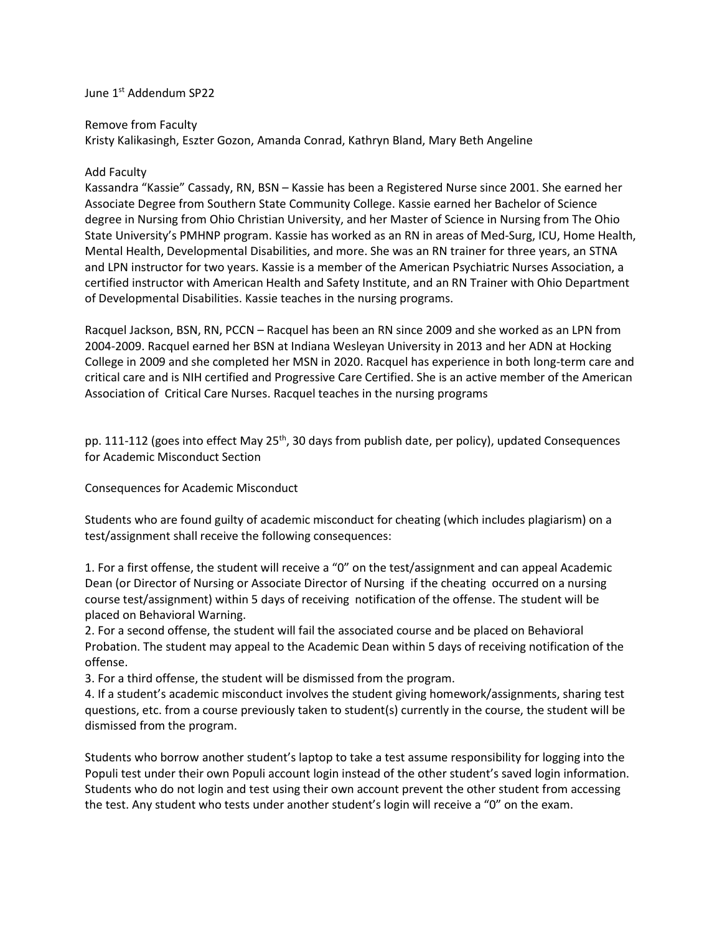June 1st Addendum SP22

Remove from Faculty

Kristy Kalikasingh, Eszter Gozon, Amanda Conrad, Kathryn Bland, Mary Beth Angeline

## Add Faculty

Kassandra "Kassie" Cassady, RN, BSN – Kassie has been a Registered Nurse since 2001. She earned her Associate Degree from Southern State Community College. Kassie earned her Bachelor of Science degree in Nursing from Ohio Christian University, and her Master of Science in Nursing from The Ohio State University's PMHNP program. Kassie has worked as an RN in areas of Med-Surg, ICU, Home Health, Mental Health, Developmental Disabilities, and more. She was an RN trainer for three years, an STNA and LPN instructor for two years. Kassie is a member of the American Psychiatric Nurses Association, a certified instructor with American Health and Safety Institute, and an RN Trainer with Ohio Department of Developmental Disabilities. Kassie teaches in the nursing programs.

Racquel Jackson, BSN, RN, PCCN – Racquel has been an RN since 2009 and she worked as an LPN from 2004-2009. Racquel earned her BSN at Indiana Wesleyan University in 2013 and her ADN at Hocking College in 2009 and she completed her MSN in 2020. Racquel has experience in both long-term care and critical care and is NIH certified and Progressive Care Certified. She is an active member of the American Association of Critical Care Nurses. Racquel teaches in the nursing programs

pp. 111-112 (goes into effect May 25<sup>th</sup>, 30 days from publish date, per policy), updated Consequences for Academic Misconduct Section

## Consequences for Academic Misconduct

Students who are found guilty of academic misconduct for cheating (which includes plagiarism) on a test/assignment shall receive the following consequences:

1. For a first offense, the student will receive a "0" on the test/assignment and can appeal Academic Dean (or Director of Nursing or Associate Director of Nursing if the cheating occurred on a nursing course test/assignment) within 5 days of receiving notification of the offense. The student will be placed on Behavioral Warning.

2. For a second offense, the student will fail the associated course and be placed on Behavioral Probation. The student may appeal to the Academic Dean within 5 days of receiving notification of the offense.

3. For a third offense, the student will be dismissed from the program.

4. If a student's academic misconduct involves the student giving homework/assignments, sharing test questions, etc. from a course previously taken to student(s) currently in the course, the student will be dismissed from the program.

Students who borrow another student's laptop to take a test assume responsibility for logging into the Populi test under their own Populi account login instead of the other student's saved login information. Students who do not login and test using their own account prevent the other student from accessing the test. Any student who tests under another student's login will receive a "0" on the exam.